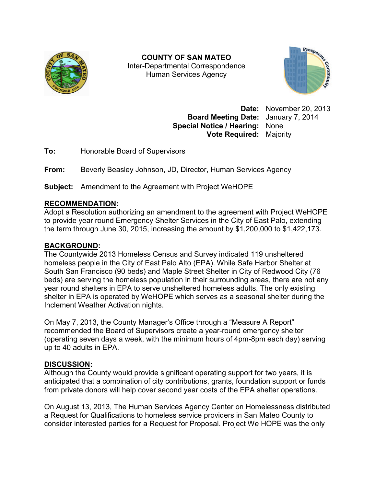

**COUNTY OF SAN MATEO**  Inter-Departmental Correspondence Human Services Agency



**Date:** November 20, 2013 **Board Meeting Date:** January 7, 2014 **Special Notice / Hearing:** None **Vote Required:** Majority

**To:** Honorable Board of Supervisors

**From:** Beverly Beasley Johnson, JD, Director, Human Services Agency

**Subject:** Amendment to the Agreement with Project WeHOPE

## **RECOMMENDATION:**

Adopt a Resolution authorizing an amendment to the agreement with Project WeHOPE to provide year round Emergency Shelter Services in the City of East Palo, extending the term through June 30, 2015, increasing the amount by \$1,200,000 to \$1,422,173.

# **BACKGROUND:**

The Countywide 2013 Homeless Census and Survey indicated 119 unsheltered homeless people in the City of East Palo Alto (EPA). While Safe Harbor Shelter at South San Francisco (90 beds) and Maple Street Shelter in City of Redwood City (76 beds) are serving the homeless population in their surrounding areas, there are not any year round shelters in EPA to serve unsheltered homeless adults. The only existing shelter in EPA is operated by WeHOPE which serves as a seasonal shelter during the Inclement Weather Activation nights.

On May 7, 2013, the County Manager's Office through a "Measure A Report" recommended the Board of Supervisors create a year-round emergency shelter (operating seven days a week, with the minimum hours of 4pm-8pm each day) serving up to 40 adults in EPA.

## **DISCUSSION:**

Although the County would provide significant operating support for two years, it is anticipated that a combination of city contributions, grants, foundation support or funds from private donors will help cover second year costs of the EPA shelter operations.

On August 13, 2013, The Human Services Agency Center on Homelessness distributed a Request for Qualifications to homeless service providers in San Mateo County to consider interested parties for a Request for Proposal. Project We HOPE was the only